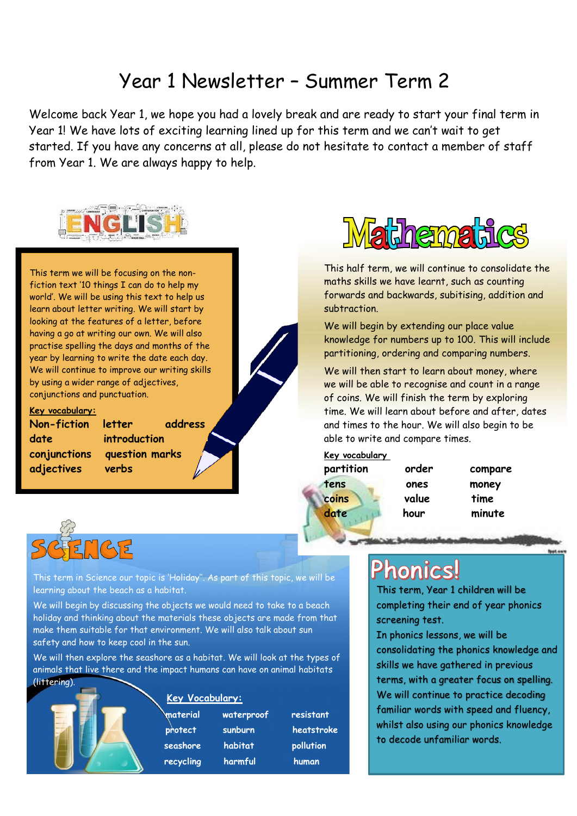### Year 1 Newsletter – Summer Term 2

Welcome back Year 1, we hope you had a lovely break and are ready to start your final term in Year 1! We have lots of exciting learning lined up for this term and we can't wait to get started. If you have any concerns at all, please do not hesitate to contact a member of staff from Year 1. We are always happy to help.



This term we will be focusing on the nonfiction text '10 things I can do to help my world'. We will be using this text to help us learn about letter writing. We will start by looking at the features of a letter, before having a go at writing our own. We will also practise spelling the days and months of the year by learning to write the date each day. We will continue to improve our writing skills by using a wider range of adjectives, conjunctions and punctuation.

### **Key vocabulary:**

**date introduction adjectives verbs** 

**Non-fiction letter address conjunctions question marks** 



This half term, we will continue to consolidate the maths skills we have learnt, such as counting forwards and backwards, subitising, addition and subtraction.

We will begin by extending our place value knowledge for numbers up to 100. This will include partitioning, ordering and comparing numbers.

We will then start to learn about money, where we will be able to recognise and count in a range of coins. We will finish the term by exploring time. We will learn about before and after, dates and times to the hour. We will also begin to be able to write and compare times.

**Key vocabulary** 

**tens ones money coins value time** 

**partition order compare date hour minute** 



This term in Science our topic is 'Holiday''. As part of this topic, we will be learning about the beach as a habitat.

We will begin by discussing the objects we would need to take to a beach holiday and thinking about the materials these objects are made from that make them suitable for that environment. We will also talk about sun safety and how to keep cool in the sun.

We will then explore the seashore as a habitat. We will look at the types of animals that live there and the impact humans can have on animal habitats (littering).



#### **Key Vocabulary:**

 **material waterproof resistant protect sunburn heatstroke** seashore habitat pollution  **recycling harmful human**

### **Phonics!**

This term, Year 1 children will be completing their end of year phonics screening test.

In phonics lessons, we will be consolidating the phonics knowledge and skills we have gathered in previous terms, with a greater focus on spelling. We will continue to practice decoding familiar words with speed and fluency, whilst also using our phonics knowledge to decode unfamiliar words.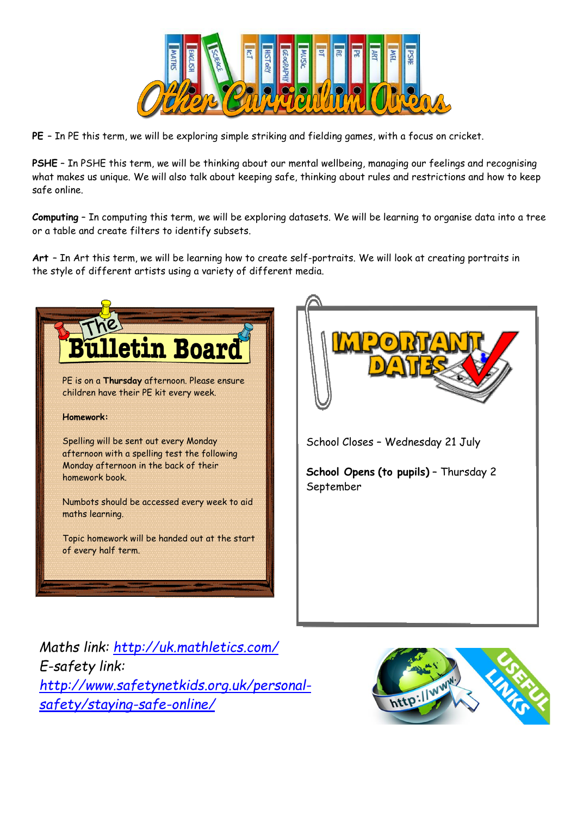

**PE** – In PE this term, we will be exploring simple striking and fielding games, with a focus on cricket.

**PSHE** – In PSHE this term, we will be thinking about our mental wellbeing, managing our feelings and recognising what makes us unique. We will also talk about keeping safe, thinking about rules and restrictions and how to keep safe online.

**Computing** – In computing this term, we will be exploring datasets. We will be learning to organise data into a tree or a table and create filters to identify subsets.

**Art** – In Art this term, we will be learning how to create self-portraits. We will look at creating portraits in the style of different artists using a variety of different media.



*Maths link:<http://uk.mathletics.com/> E-safety link: [http://www.safetynetkids.org.uk/personal](http://www.safetynetkids.org.uk/personal-safety/staying-safe-online/)[safety/staying-safe-online/](http://www.safetynetkids.org.uk/personal-safety/staying-safe-online/)*